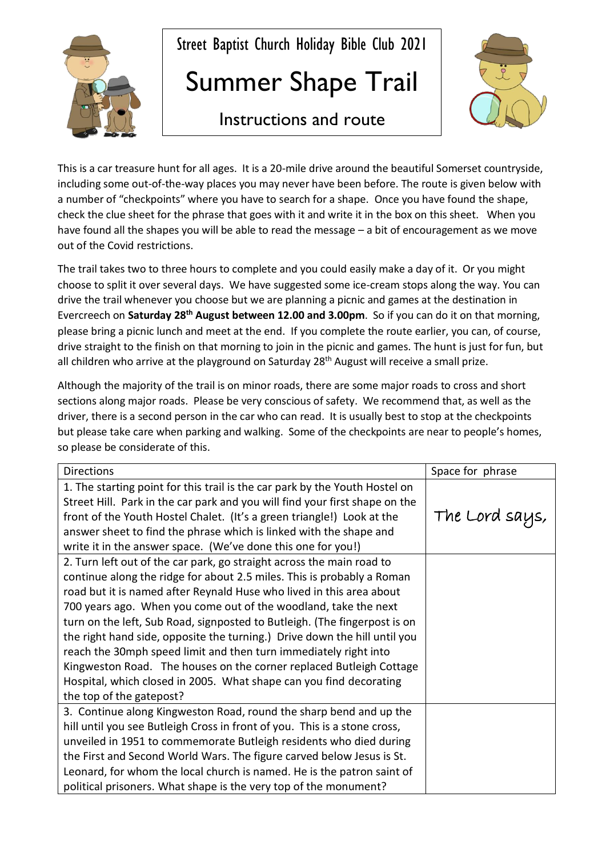

Street Baptist Church Holiday Bible Club 2021

## Summer Shape Trail



## Instructions and route

This is a car treasure hunt for all ages. It is a 20-mile drive around the beautiful Somerset countryside, including some out-of-the-way places you may never have been before. The route is given below with a number of "checkpoints" where you have to search for a shape. Once you have found the shape, check the clue sheet for the phrase that goes with it and write it in the box on this sheet. When you have found all the shapes you will be able to read the message – a bit of encouragement as we move out of the Covid restrictions.

The trail takes two to three hours to complete and you could easily make a day of it. Or you might choose to split it over several days. We have suggested some ice-cream stops along the way. You can drive the trail whenever you choose but we are planning a picnic and games at the destination in Evercreech on **Saturday 28th August between 12.00 and 3.00pm**. So if you can do it on that morning, please bring a picnic lunch and meet at the end. If you complete the route earlier, you can, of course, drive straight to the finish on that morning to join in the picnic and games. The hunt is just for fun, but all children who arrive at the playground on Saturday 28<sup>th</sup> August will receive a small prize.

Although the majority of the trail is on minor roads, there are some major roads to cross and short sections along major roads. Please be very conscious of safety. We recommend that, as well as the driver, there is a second person in the car who can read. It is usually best to stop at the checkpoints but please take care when parking and walking. Some of the checkpoints are near to people's homes, so please be considerate of this.

| <b>Directions</b>                                                                                                                                                                                                                                                                                                                                                                                                                                                                                                                                                                                                                                                                                 | Space for phrase |
|---------------------------------------------------------------------------------------------------------------------------------------------------------------------------------------------------------------------------------------------------------------------------------------------------------------------------------------------------------------------------------------------------------------------------------------------------------------------------------------------------------------------------------------------------------------------------------------------------------------------------------------------------------------------------------------------------|------------------|
| 1. The starting point for this trail is the car park by the Youth Hostel on<br>Street Hill. Park in the car park and you will find your first shape on the<br>front of the Youth Hostel Chalet. (It's a green triangle!) Look at the<br>answer sheet to find the phrase which is linked with the shape and<br>write it in the answer space. (We've done this one for you!)                                                                                                                                                                                                                                                                                                                        | The Lord says,   |
| 2. Turn left out of the car park, go straight across the main road to<br>continue along the ridge for about 2.5 miles. This is probably a Roman<br>road but it is named after Reynald Huse who lived in this area about<br>700 years ago. When you come out of the woodland, take the next<br>turn on the left, Sub Road, signposted to Butleigh. (The fingerpost is on<br>the right hand side, opposite the turning.) Drive down the hill until you<br>reach the 30mph speed limit and then turn immediately right into<br>Kingweston Road. The houses on the corner replaced Butleigh Cottage<br>Hospital, which closed in 2005. What shape can you find decorating<br>the top of the gatepost? |                  |
| 3. Continue along Kingweston Road, round the sharp bend and up the<br>hill until you see Butleigh Cross in front of you. This is a stone cross,<br>unveiled in 1951 to commemorate Butleigh residents who died during<br>the First and Second World Wars. The figure carved below Jesus is St.<br>Leonard, for whom the local church is named. He is the patron saint of<br>political prisoners. What shape is the very top of the monument?                                                                                                                                                                                                                                                      |                  |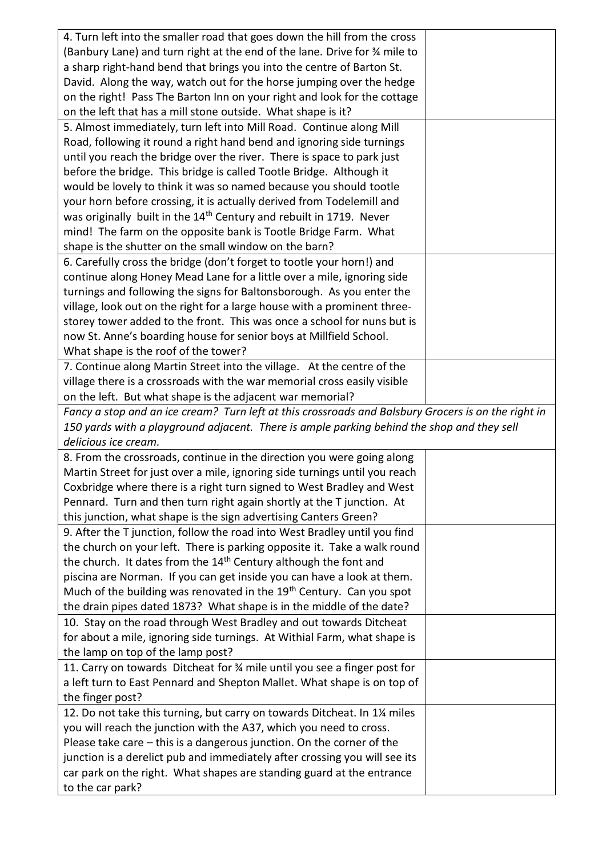| 4. Turn left into the smaller road that goes down the hill from the cross                           |  |
|-----------------------------------------------------------------------------------------------------|--|
| (Banbury Lane) and turn right at the end of the lane. Drive for 34 mile to                          |  |
| a sharp right-hand bend that brings you into the centre of Barton St.                               |  |
| David. Along the way, watch out for the horse jumping over the hedge                                |  |
| on the right! Pass The Barton Inn on your right and look for the cottage                            |  |
| on the left that has a mill stone outside. What shape is it?                                        |  |
| 5. Almost immediately, turn left into Mill Road. Continue along Mill                                |  |
| Road, following it round a right hand bend and ignoring side turnings                               |  |
| until you reach the bridge over the river. There is space to park just                              |  |
| before the bridge. This bridge is called Tootle Bridge. Although it                                 |  |
| would be lovely to think it was so named because you should tootle                                  |  |
| your horn before crossing, it is actually derived from Todelemill and                               |  |
| was originally built in the 14 <sup>th</sup> Century and rebuilt in 1719. Never                     |  |
| mind! The farm on the opposite bank is Tootle Bridge Farm. What                                     |  |
| shape is the shutter on the small window on the barn?                                               |  |
| 6. Carefully cross the bridge (don't forget to tootle your horn!) and                               |  |
| continue along Honey Mead Lane for a little over a mile, ignoring side                              |  |
| turnings and following the signs for Baltonsborough. As you enter the                               |  |
| village, look out on the right for a large house with a prominent three-                            |  |
| storey tower added to the front. This was once a school for nuns but is                             |  |
| now St. Anne's boarding house for senior boys at Millfield School.                                  |  |
| What shape is the roof of the tower?                                                                |  |
| 7. Continue along Martin Street into the village. At the centre of the                              |  |
| village there is a crossroads with the war memorial cross easily visible                            |  |
| on the left. But what shape is the adjacent war memorial?                                           |  |
| Fancy a stop and an ice cream? Turn left at this crossroads and Balsbury Grocers is on the right in |  |
|                                                                                                     |  |
| 150 yards with a playground adjacent. There is ample parking behind the shop and they sell          |  |
| delicious ice cream.                                                                                |  |
| 8. From the crossroads, continue in the direction you were going along                              |  |
| Martin Street for just over a mile, ignoring side turnings until you reach                          |  |
| Coxbridge where there is a right turn signed to West Bradley and West                               |  |
| Pennard. Turn and then turn right again shortly at the T junction. At                               |  |
| this junction, what shape is the sign advertising Canters Green?                                    |  |
| 9. After the T junction, follow the road into West Bradley until you find                           |  |
| the church on your left. There is parking opposite it. Take a walk round                            |  |
| the church. It dates from the 14 <sup>th</sup> Century although the font and                        |  |
| piscina are Norman. If you can get inside you can have a look at them.                              |  |
| Much of the building was renovated in the 19 <sup>th</sup> Century. Can you spot                    |  |
| the drain pipes dated 1873? What shape is in the middle of the date?                                |  |
| 10. Stay on the road through West Bradley and out towards Ditcheat                                  |  |
| for about a mile, ignoring side turnings. At Withial Farm, what shape is                            |  |
| the lamp on top of the lamp post?                                                                   |  |
| 11. Carry on towards Ditcheat for 3/4 mile until you see a finger post for                          |  |
| a left turn to East Pennard and Shepton Mallet. What shape is on top of                             |  |
| the finger post?                                                                                    |  |
| 12. Do not take this turning, but carry on towards Ditcheat. In 11/4 miles                          |  |
| you will reach the junction with the A37, which you need to cross.                                  |  |
| Please take care – this is a dangerous junction. On the corner of the                               |  |
| junction is a derelict pub and immediately after crossing you will see its                          |  |
| car park on the right. What shapes are standing guard at the entrance<br>to the car park?           |  |